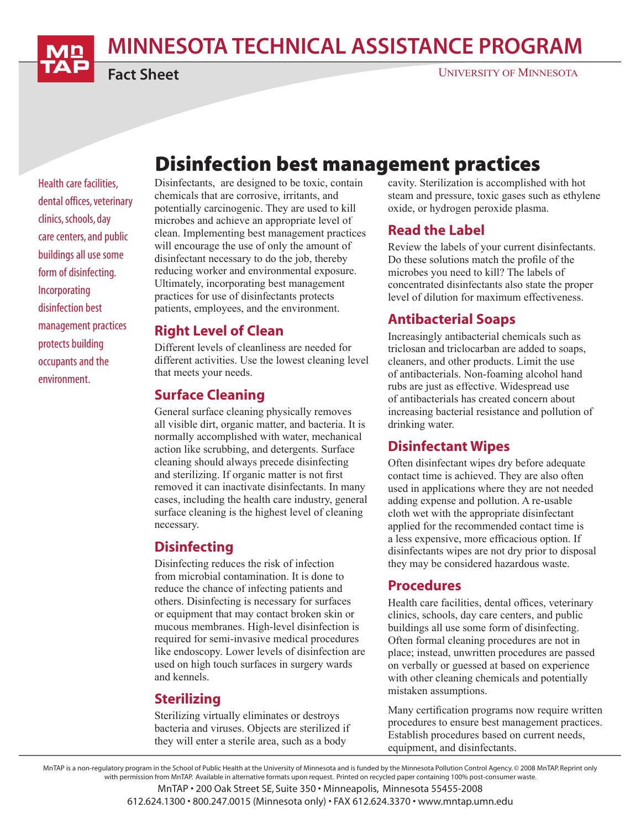MINNESOTA TECHNICAL ASSISTANCE PROGRAM

Fact Sheet

#### UNIVERSITY OF MINNESOTA

# Disinfection best management practices

Health care facilities, dental offices, veterinary clinics, schools, day care centers, and public buildings all use some form of disinfecting. Incorporating disinfection best management practices protects building occupants and the environment.

Disinfectants, are designed to be toxic, contain chemicals that are corrosive, irritants, and potentially carcinogenic. They are used to kill microbes and achieve an appropriate level of clean. Implementing best management practices will encourage the use of only the amount of disinfectant necessary to do the job, thereby reducing worker and environmental exposure. Ultimately, incorporating best management practices for use of disinfectants protects patients, employees, and the environment.

#### Right Level of Clean

Different levels of cleanliness are needed for different activities. Use the lowest cleaning level that meets your needs.

#### Surface Cleaning

General surface cleaning physically removes all visible dirt, organic matter, and bacteria. It is normally accomplished with water, mechanical action like scrubbing, and detergents. Surface cleaning should always precede disinfecting and sterilizing. If organic matter is not first removed it can inactivate disinfectants. In many cases, including the health care industry, general surface cleaning is the highest level of cleaning necessary.

### **Disinfecting**

Disinfecting reduces the risk of infection from microbial contamination. It is done to reduce the chance of infecting patients and others. Disinfecting is necessary for surfaces or equipment that may contact broken skin or mucous membranes. High-level disinfection is required for semi-invasive medical procedures like endoscopy. Lower levels of disinfection are used on high touch surfaces in surgery wards and kennels.

## Sterilizing

Sterilizing virtually eliminates or destroys bacteria and viruses. Objects are sterilized if they will enter a sterile area, such as a body

cavity. Sterilization is accomplished with hot steam and pressure, toxic gases such as ethylene oxide, or hydrogen peroxide plasma.

### Read the Label

Review the labels of your current disinfectants. Do these solutions match the profile of the microbes you need to kill? The labels of concentrated disinfectants also state the proper level of dilution for maximum effectiveness.

## Antibacterial Soaps

Increasingly antibacterial chemicals such as triclosan and triclocarban are added to soaps, cleaners, and other products. Limit the use of antibacterials. Non-foaming alcohol hand rubs are just as effective. Widespread use of antibacterials has created concern about increasing bacterial resistance and pollution of drinking water.

## Disinfectant Wipes

Often disinfectant wipes dry before adequate contact time is achieved. They are also often used in applications where they are not needed adding expense and pollution. A re-usable cloth wet with the appropriate disinfectant applied for the recommended contact time is a less expensive, more efficacious option. If disinfectants wipes are not dry prior to disposal they may be considered hazardous waste.

### Procedures

Health care facilities, dental offices, veterinary clinics, schools, day care centers, and public buildings all use some form of disinfecting. Often formal cleaning procedures are not in place; instead, unwritten procedures are passed on verbally or guessed at based on experience with other cleaning chemicals and potentially mistaken assumptions.

Many certification programs now require written procedures to ensure best management practices. Establish procedures based on current needs, equipment, and disinfectants.

MnTAP is a non-regulatory program in the School of Public Health at the University of Minnesota and is funded by the Minnesota Pollution Control Agency. © 2008 MnTAP. Reprint only with permission from MnTAP. Available in alternative formats upon request. Printed on recycled paper containing 100% post-consumer waste.

MnTAP • 200 Oak Street SE, Suite 350 • Minneapolis, Minnesota 55455-2008

612.624.1300 • 800.247.0015 (Minnesota only) • FAX 612.624.3370 • www.mntap.umn.edu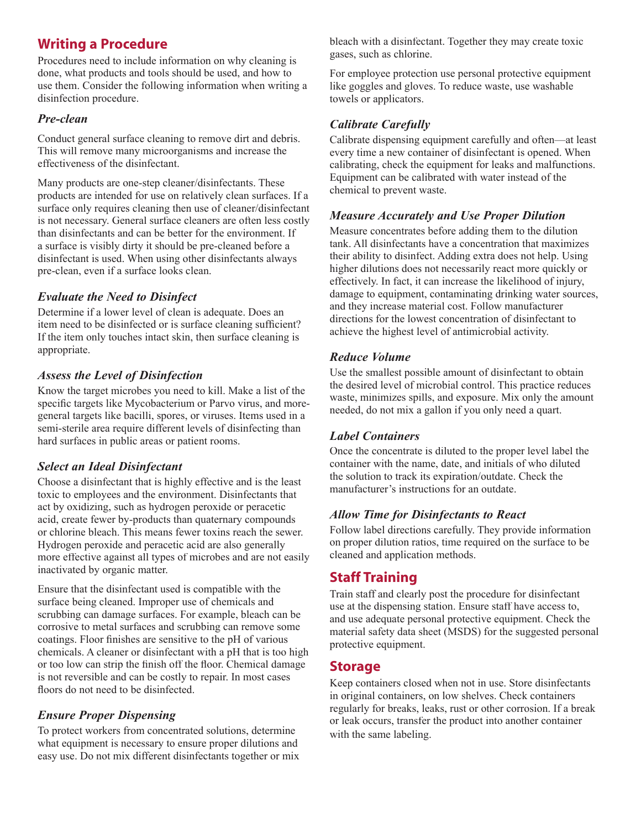## Writing a Procedure

Procedures need to include information on why cleaning is done, what products and tools should be used, and how to use them. Consider the following information when writing a disinfection procedure.

#### *Pre-clean*

Conduct general surface cleaning to remove dirt and debris. This will remove many microorganisms and increase the effectiveness of the disinfectant.

Many products are one-step cleaner/disinfectants. These products are intended for use on relatively clean surfaces. If a surface only requires cleaning then use of cleaner/disinfectant is not necessary. General surface cleaners are often less costly than disinfectants and can be better for the environment. If a surface is visibly dirty it should be pre-cleaned before a disinfectant is used. When using other disinfectants always pre-clean, even if a surface looks clean.

#### *Evaluate the Need to Disinfect*

Determine if a lower level of clean is adequate. Does an item need to be disinfected or is surface cleaning sufficient? If the item only touches intact skin, then surface cleaning is appropriate.

#### *Assess the Level of Disinfection*

Know the target microbes you need to kill. Make a list of the specific targets like Mycobacterium or Parvo virus, and moregeneral targets like bacilli, spores, or viruses. Items used in a semi-sterile area require different levels of disinfecting than hard surfaces in public areas or patient rooms.

#### *Select an Ideal Disinfectant*

Choose a disinfectant that is highly effective and is the least toxic to employees and the environment. Disinfectants that act by oxidizing, such as hydrogen peroxide or peracetic acid, create fewer by-products than quaternary compounds or chlorine bleach. This means fewer toxins reach the sewer. Hydrogen peroxide and peracetic acid are also generally more effective against all types of microbes and are not easily inactivated by organic matter.

Ensure that the disinfectant used is compatible with the surface being cleaned. Improper use of chemicals and scrubbing can damage surfaces. For example, bleach can be corrosive to metal surfaces and scrubbing can remove some coatings. Floor finishes are sensitive to the pH of various chemicals. A cleaner or disinfectant with a pH that is too high or too low can strip the finish off the floor. Chemical damage is not reversible and can be costly to repair. In most cases floors do not need to be disinfected.

#### *Ensure Proper Dispensing*

To protect workers from concentrated solutions, determine what equipment is necessary to ensure proper dilutions and easy use. Do not mix different disinfectants together or mix bleach with a disinfectant. Together they may create toxic gases, such as chlorine.

For employee protection use personal protective equipment like goggles and gloves. To reduce waste, use washable towels or applicators.

#### *Calibrate Carefully*

Calibrate dispensing equipment carefully and often—at least every time a new container of disinfectant is opened. When calibrating, check the equipment for leaks and malfunctions. Equipment can be calibrated with water instead of the chemical to prevent waste.

#### *Measure Accurately and Use Proper Dilution*

Measure concentrates before adding them to the dilution tank. All disinfectants have a concentration that maximizes their ability to disinfect. Adding extra does not help. Using higher dilutions does not necessarily react more quickly or effectively. In fact, it can increase the likelihood of injury, damage to equipment, contaminating drinking water sources, and they increase material cost. Follow manufacturer directions for the lowest concentration of disinfectant to achieve the highest level of antimicrobial activity.

#### *Reduce Volume*

Use the smallest possible amount of disinfectant to obtain the desired level of microbial control. This practice reduces waste, minimizes spills, and exposure. Mix only the amount needed, do not mix a gallon if you only need a quart.

#### *Label Containers*

Once the concentrate is diluted to the proper level label the container with the name, date, and initials of who diluted the solution to track its expiration/outdate. Check the manufacturer's instructions for an outdate.

#### *Allow Time for Disinfectants to React*

Follow label directions carefully. They provide information on proper dilution ratios, time required on the surface to be cleaned and application methods.

## Staff Training

Train staff and clearly post the procedure for disinfectant use at the dispensing station. Ensure staff have access to, and use adequate personal protective equipment. Check the material safety data sheet (MSDS) for the suggested personal protective equipment.

#### Storage

Keep containers closed when not in use. Store disinfectants in original containers, on low shelves. Check containers regularly for breaks, leaks, rust or other corrosion. If a break or leak occurs, transfer the product into another container with the same labeling.